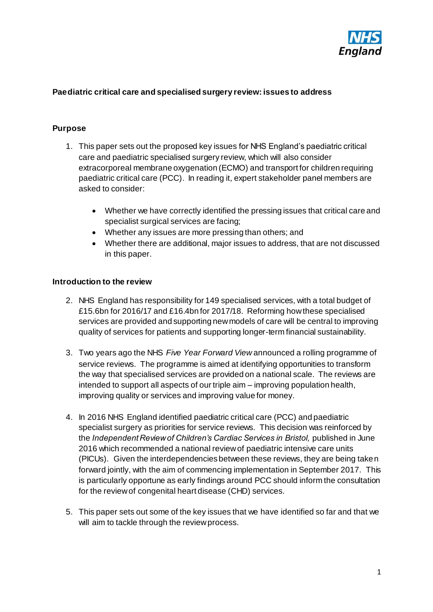

#### **Paediatric critical care and specialised surgery review: issues to address**

#### **Purpose**

- 1. This paper sets out the proposed key issues for NHS England's paediatric critical care and paediatric specialised surgery review, which will also consider extracorporeal membrane oxygenation (ECMO) and transport for children requiring paediatric critical care (PCC). In reading it, expert stakeholder panel members are asked to consider:
	- Whether we have correctly identified the pressing issues that critical care and specialist surgical services are facing;
	- Whether any issues are more pressing than others; and
	- Whether there are additional, major issues to address, that are not discussed in this paper.

#### **Introduction to the review**

- 2. NHS England has responsibility for 149 specialised services, with a total budget of £15.6bn for 2016/17 and £16.4bn for 2017/18. Reforming how these specialised services are provided and supporting new models of care will be central to improving quality of services for patients and supporting longer-term financial sustainability.
- 3. Two years ago the NHS *Five Year Forward View* announced a rolling programme of service reviews. The programme is aimed at identifying opportunities to transform the way that specialised services are provided on a national scale. The reviews are intended to support all aspects of our triple aim – improving population health, improving quality or services and improving value for money.
- 4. In 2016 NHS England identified paediatric critical care (PCC) and paediatric specialist surgery as priorities for service reviews. This decision was reinforced by the *Independent Review of Children's Cardiac Services in Bristol,* published in June 2016 which recommended a national review of paediatric intensive care units (PICUs). Given the interdependencies between these reviews, they are being taken forward jointly, with the aim of commencing implementation in September 2017. This is particularly opportune as early findings around PCC should inform the consultation for the review of congenital heart disease (CHD) services.
- 5. This paper sets out some of the key issues that we have identified so far and that we will aim to tackle through the review process.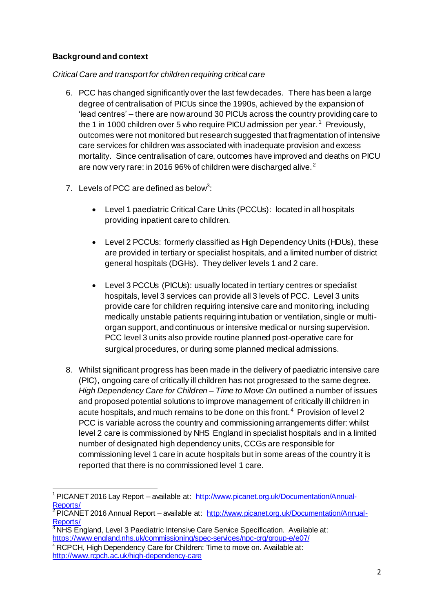# **Background and context**

## *Critical Care and transport for children requiring critical care*

- 6. PCC has changed significantly over the last few decades. There has been a large degree of centralisation of PICUs since the 1990s, achieved by the expansion of 'lead centres' – there are now around 30 PICUs across the country providing care to the 1 in 1000 children over 5 who require PICU admission per year.  $^1$  Previously, outcomes were not monitored but research suggested that fragmentation of intensive care services for children was associated with inadequate provision and excess mortality. Since centralisation of care, outcomes have improved and deaths on PICU are now very rare: in 2016 96% of children were discharged alive. <sup>2</sup>
- 7. Levels of PCC are defined as below<sup>3</sup>:
	- Level 1 paediatric Critical Care Units (PCCUs): located in all hospitals providing inpatient care to children.
	- Level 2 PCCUs: formerly classified as High Dependency Units (HDUs), these are provided in tertiary or specialist hospitals, and a limited number of district general hospitals (DGHs). They deliver levels 1 and 2 care.
	- Level 3 PCCUs (PICUs): usually located in tertiary centres or specialist hospitals, level 3 services can provide all 3 levels of PCC. Level 3 units provide care for children requiring intensive care and monitoring, including medically unstable patients requiring intubation or ventilation, single or multiorgan support, and continuous or intensive medical or nursing supervision. PCC level 3 units also provide routine planned post-operative care for surgical procedures, or during some planned medical admissions.
- 8. Whilst significant progress has been made in the delivery of paediatric intensive care (PIC), ongoing care of critically ill children has not progressed to the same degree. *High Dependency Care for Children – Time to Move On* outlined a number of issues and proposed potential solutions to improve management of critically ill children in acute hospitals, and much remains to be done on this front.<sup>4</sup> Provision of level 2 PCC is variable across the country and commissioning arrangements differ: whilst level 2 care is commissioned by NHS England in specialist hospitals and in a limited number of designated high dependency units, CCGs are responsible for commissioning level 1 care in acute hospitals but in some areas of the country it is reported that there is no commissioned level 1 care.

 $\overline{a}$ <sup>1</sup> PICANET 2016 Lay Report – available at: [http://www.picanet.org.uk/Documentation/Annual-](http://www.picanet.org.uk/Documentation/Annual-Reports/)[Reports/](http://www.picanet.org.uk/Documentation/Annual-Reports/)

PICANET 2016 Annual Report – available at: [http://www.picanet.org.uk/Documentation/Annual-](http://www.picanet.org.uk/Documentation/Annual-Reports/)[Reports/](http://www.picanet.org.uk/Documentation/Annual-Reports/)

<sup>&</sup>lt;sup>3</sup> NHS England, Level 3 Paediatric Intensive Care Service Specification. Available at: <https://www.england.nhs.uk/commissioning/spec-services/npc-crg/group-e/e07/>

<sup>&</sup>lt;sup>4</sup> RCPCH, High Dependency Care for Children: Time to move on. Available at: <http://www.rcpch.ac.uk/high-dependency-care>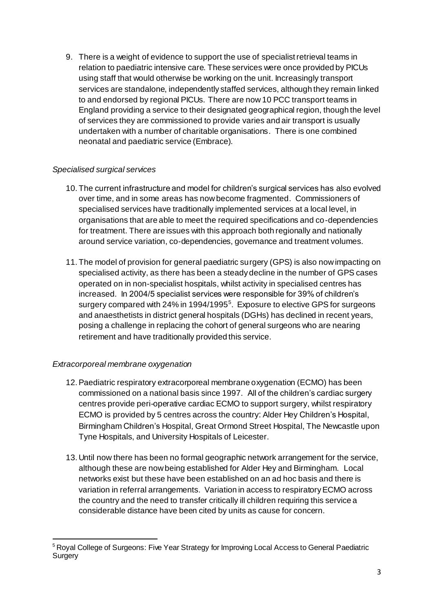9. There is a weight of evidence to support the use of specialist retrieval teams in relation to paediatric intensive care. These services were once provided by PICUs using staff that would otherwise be working on the unit. Increasingly transport services are standalone, independently staffed services, although they remain linked to and endorsed by regional PICUs. There are now 10 PCC transport teams in England providing a service to their designated geographical region, though the level of services they are commissioned to provide varies and air transport is usually undertaken with a number of charitable organisations. There is one combined neonatal and paediatric service (Embrace).

## *Specialised surgical services*

- 10. The current infrastructure and model for children's surgical services has also evolved over time, and in some areas has now become fragmented. Commissioners of specialised services have traditionally implemented services at a local level, in organisations that are able to meet the required specifications and co-dependencies for treatment. There are issues with this approach both regionally and nationally around service variation, co-dependencies, governance and treatment volumes.
- 11. The model of provision for general paediatric surgery (GPS) is also now impacting on specialised activity, as there has been a steady decline in the number of GPS cases operated on in non-specialist hospitals, whilst activity in specialised centres has increased. In 2004/5 specialist services were responsible for 39% of children's surgery compared with 24% in 1994/1995<sup>5</sup>. Exposure to elective GPS for surgeons and anaesthetists in district general hospitals (DGHs) has declined in recent years, posing a challenge in replacing the cohort of general surgeons who are nearing retirement and have traditionally provided this service.

## *Extracorporeal membrane oxygenation*

- 12.Paediatric respiratory extracorporeal membrane oxygenation (ECMO) has been commissioned on a national basis since 1997. All of the children's cardiac surgery centres provide peri-operative cardiac ECMO to support surgery, whilst respiratory ECMO is provided by 5 centres across the country: Alder Hey Children's Hospital, Birmingham Children's Hospital, Great Ormond Street Hospital, The Newcastle upon Tyne Hospitals, and University Hospitals of Leicester.
- 13. Until now there has been no formal geographic network arrangement for the service, although these are now being established for Alder Hey and Birmingham. Local networks exist but these have been established on an ad hoc basis and there is variation in referral arrangements. Variation in access to respiratory ECMO across the country and the need to transfer critically ill children requiring this service a considerable distance have been cited by units as cause for concern.

<sup>1</sup> <sup>5</sup> Royal College of Surgeons: Five Year Strategy for Improving Local Access to General Paediatric **Surgery**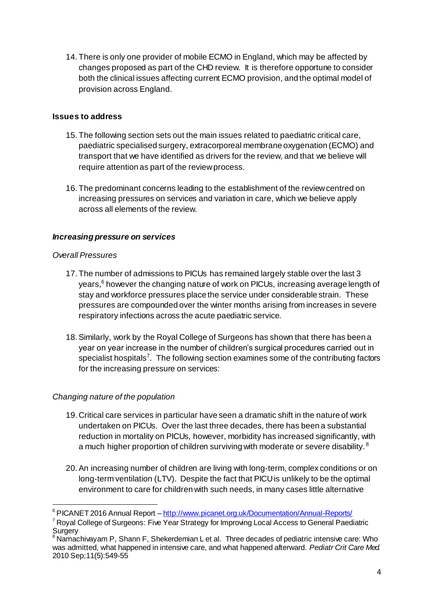14. There is only one provider of mobile ECMO in England, which may be affected by changes proposed as part of the CHD review. It is therefore opportune to consider both the clinical issues affecting current ECMO provision, and the optimal model of provision across England.

## **Issues to address**

- 15. The following section sets out the main issues related to paediatric critical care, paediatric specialised surgery, extracorporeal membrane oxygenation (ECMO) and transport that we have identified as drivers for the review, and that we believe will require attention as part of the review process.
- 16. The predominant concerns leading to the establishment of the review centred on increasing pressures on services and variation in care, which we believe apply across all elements of the review.

# *Increasing pressure on services*

## *Overall Pressures*

1

- 17. The number of admissions to PICUs has remained largely stable over the last 3 years,<sup>6</sup> however the changing nature of work on PICUs, increasing average length of stay and workforce pressures place the service under considerable strain. These pressures are compounded over the winter months arising from increases in severe respiratory infections across the acute paediatric service.
- 18.Similarly, work by the Royal College of Surgeons has shown that there has been a year on year increase in the number of children's surgical procedures carried out in specialist hospitals<sup>7</sup>. The following section examines some of the contributing factors for the increasing pressure on services:

## *Changing nature of the population*

- 19. Critical care services in particular have seen a dramatic shift in the nature of work undertaken on PICUs. Over the last three decades, there has been a substantial reduction in mortality on PICUs, however, morbidity has increased significantly, with a much higher proportion of children surviving with moderate or severe disability.<sup>8</sup>
- 20.An increasing number of children are living with long-term, complex conditions or on long-term ventilation (LTV). Despite the fact that PICU is unlikely to be the optimal environment to care for children with such needs, in many cases little alternative

<sup>&</sup>lt;sup>6</sup> PICANET 2016 Annual Report – <http://www.picanet.org.uk/Documentation/Annual-Reports/>

<sup>&</sup>lt;sup>7</sup> Royal College of Surgeons: Five Year Strategy for Improving Local Access to General Paediatric  $\int_{8}^{\infty}$ Surgery

 $^3$ Namachivayam P, Shann F, Shekerdemian L et al. Three decades of pediatric intensive care: Who was admitted, what happened in intensive care, and what happened afterward. *Pediatr Crit Care Med.*  2010 Sep;11(5):549-55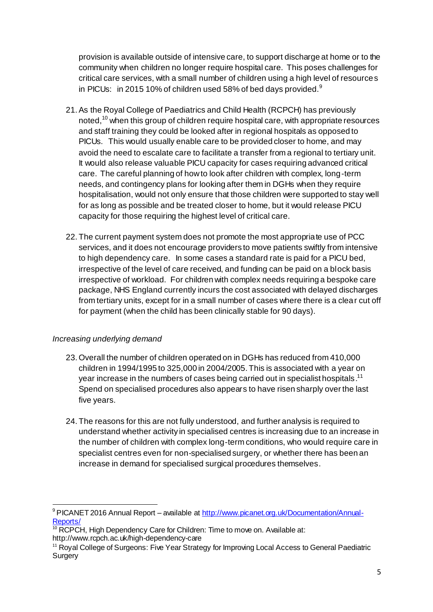provision is available outside of intensive care, to support discharge at home or to the community when children no longer require hospital care. This poses challenges for critical care services, with a small number of children using a high level of resources in PICUs: in 2015 10% of children used 58% of bed days provided.<sup>9</sup>

- 21.As the Royal College of Paediatrics and Child Health (RCPCH) has previously noted,<sup>10</sup> when this group of children require hospital care, with appropriate resources and staff training they could be looked after in regional hospitals as opposed to PICUs. This would usually enable care to be provided closer to home, and may avoid the need to escalate care to facilitate a transfer from a regional to tertiary unit. It would also release valuable PICU capacity for cases requiring advanced critical care. The careful planning of how to look after children with complex, long-term needs, and contingency plans for looking after them in DGHs when they require hospitalisation, would not only ensure that those children were supported to stay well for as long as possible and be treated closer to home, but it would release PICU capacity for those requiring the highest level of critical care.
- 22. The current payment system does not promote the most appropriate use of PCC services, and it does not encourage providers to move patients swiftly from intensive to high dependency care. In some cases a standard rate is paid for a PICU bed, irrespective of the level of care received, and funding can be paid on a block basis irrespective of workload. For children with complex needs requiring a bespoke care package, NHS England currently incurs the cost associated with delayed discharges from tertiary units, except for in a small number of cases where there is a clear cut off for payment (when the child has been clinically stable for 90 days).

## *Increasing underlying demand*

- 23.Overall the number of children operated on in DGHs has reduced from 410,000 children in 1994/1995 to 325,000 in 2004/2005. This is associated with a year on year increase in the numbers of cases being carried out in specialist hospitals.<sup>11</sup> Spend on specialised procedures also appears to have risen sharply over the last five years.
- 24. The reasons for this are not fully understood, and further analysis is required to understand whether activity in specialised centres is increasing due to an increase in the number of children with complex long-term conditions, who would require care in specialist centres even for non-specialised surgery, or whether there has been an increase in demand for specialised surgical procedures themselves.

<sup>1</sup> 9 PICANET 2016 Annual Report – available at [http://www.picanet.org.uk/Documentation/Annual-](http://www.picanet.org.uk/Documentation/Annual-Reports/)[Reports/](http://www.picanet.org.uk/Documentation/Annual-Reports/)

 $10$  RCPCH. High Dependency Care for Children: Time to move on. Available at: http://www.rcpch.ac.uk/high-dependency-care

<sup>&</sup>lt;sup>11</sup> Royal College of Surgeons: Five Year Strategy for Improving Local Access to General Paediatric Surgery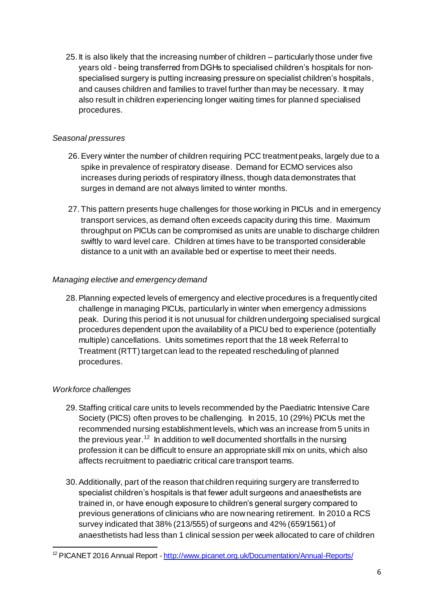25. It is also likely that the increasing number of children – particularly those under five years old - being transferred from DGHs to specialised children's hospitals for nonspecialised surgery is putting increasing pressure on specialist children's hospitals, and causes children and families to travel further than may be necessary. It may also result in children experiencing longer waiting times for planned specialised procedures.

#### *Seasonal pressures*

- 26.Every winter the number of children requiring PCC treatment peaks, largely due to a spike in prevalence of respiratory disease. Demand for ECMO services also increases during periods of respiratory illness, though data demonstrates that surges in demand are not always limited to winter months.
- 27. This pattern presents huge challenges for those working in PICUs and in emergency transport services, as demand often exceeds capacity during this time. Maximum throughput on PICUs can be compromised as units are unable to discharge children swiftly to ward level care. Children at times have to be transported considerable distance to a unit with an available bed or expertise to meet their needs.

#### *Managing elective and emergency demand*

28.Planning expected levels of emergency and elective procedures is a frequently cited challenge in managing PICUs, particularly in winter when emergency admissions peak. During this period it is not unusual for children undergoing specialised surgical procedures dependent upon the availability of a PICU bed to experience (potentially multiple) cancellations. Units sometimes report that the 18 week Referral to Treatment (RTT) target can lead to the repeated rescheduling of planned procedures.

## *Workforce challenges*

- 29.Staffing critical care units to levels recommended by the Paediatric Intensive Care Society (PICS) often proves to be challenging. In 2015, 10 (29%) PICUs met the recommended nursing establishment levels, which was an increase from 5 units in the previous year.<sup>12</sup> In addition to well documented shortfalls in the nursing profession it can be difficult to ensure an appropriate skill mix on units, which also affects recruitment to paediatric critical care transport teams.
- 30.Additionally, part of the reason that children requiring surgery are transferred to specialist children's hospitals is that fewer adult surgeons and anaesthetists are trained in, or have enough exposure to children's general surgery compared to previous generations of clinicians who are now nearing retirement. In 2010 a RCS survey indicated that 38% (213/555) of surgeons and 42% (659/1561) of anaesthetists had less than 1 clinical session per week allocated to care of children

 $\overline{a}$ <sup>12</sup> PICANET 2016 Annual Report - http://www.picanet.org.uk/Documentation/Annual-Reports/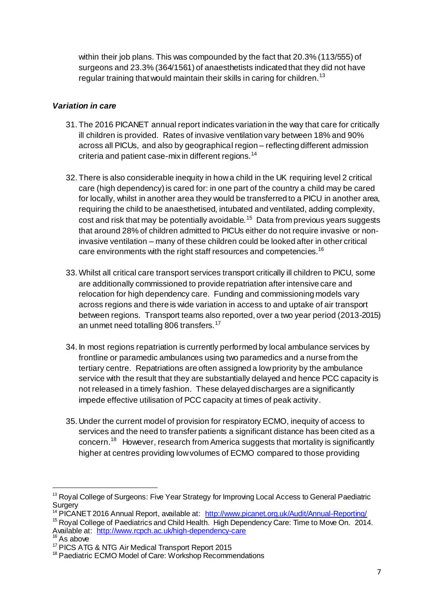within their job plans. This was compounded by the fact that 20.3% (113/555) of surgeons and 23.3% (364/1561) of anaesthetists indicated that they did not have regular training that would maintain their skills in caring for children.<sup>13</sup>

## *Variation in care*

- 31. The 2016 PICANET annual report indicates variation in the way that care for critically ill children is provided. Rates of invasive ventilation vary between 18% and 90% across all PICUs, and also by geographical region – reflecting different admission criteria and patient case-mix in different regions.<sup>14</sup>
- 32. There is also considerable inequity in how a child in the UK requiring level 2 critical care (high dependency) is cared for: in one part of the country a child may be cared for locally, whilst in another area they would be transferred to a PICU in another area, requiring the child to be anaesthetised, intubated and ventilated, adding complexity, cost and risk that may be potentially avoidable.<sup>15</sup> Data from previous years suggests that around 28% of children admitted to PICUs either do not require invasive or noninvasive ventilation – many of these children could be looked after in other critical care environments with the right staff resources and competencies.<sup>16</sup>
- 33.Whilst all critical care transport services transport critically ill children to PICU, some are additionally commissioned to provide repatriation after intensive care and relocation for high dependency care. Funding and commissioning models vary across regions and there is wide variation in access to and uptake of air transport between regions. Transport teams also reported, over a two year period (2013-2015) an unmet need totalling 806 transfers.<sup>17</sup>
- 34. In most regions repatriation is currently performed by local ambulance services by frontline or paramedic ambulances using two paramedics and a nurse from the tertiary centre. Repatriations are often assigned a low priority by the ambulance service with the result that they are substantially delayed and hence PCC capacity is not released in a timely fashion. These delayed discharges are a significantly impede effective utilisation of PCC capacity at times of peak activity.
- 35. Under the current model of provision for respiratory ECMO, inequity of access to services and the need to transfer patients a significant distance has been cited as a concern.<sup>18</sup> However, research from America suggests that mortality is significantly higher at centres providing low volumes of ECMO compared to those providing

 $\overline{a}$ 

<sup>&</sup>lt;sup>13</sup> Royal College of Surgeons: Five Year Strategy for Improving Local Access to General Paediatric **Surgery** 

<sup>&</sup>lt;sup>14</sup> PICANET 2016 Annual Report, available at:<http://www.picanet.org.uk/Audit/Annual-Reporting/>

<sup>&</sup>lt;sup>15</sup> Royal College of Paediatrics and Child Health. High Dependency Care: Time to Move On. 2014. Available at:<http://www.rcpch.ac.uk/high-dependency-care>

As above

<sup>17</sup> PICS ATG & NTG Air Medical Transport Report 2015

<sup>&</sup>lt;sup>18</sup> Paediatric ECMO Model of Care: Workshop Recommendations